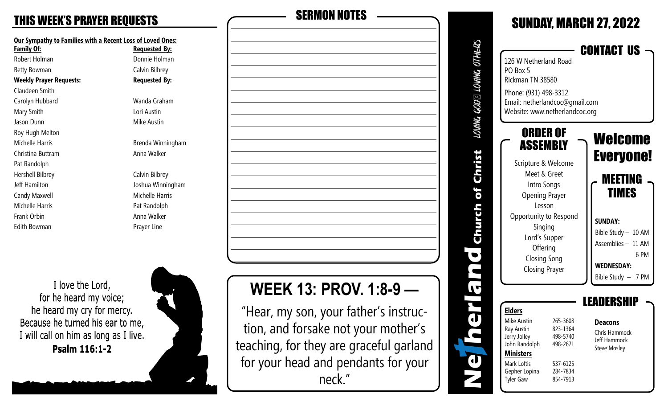| <u>Our Sympathy to Families with a Recent Loss of Loved On</u><br><b>Family Of:</b> | <u>Requested By</u> |
|-------------------------------------------------------------------------------------|---------------------|
| Robert Holman                                                                       | Donnie Holma        |
| Betty Bowman                                                                        | Calvin Bilbrey      |
| <b>Weekly Prayer Requests:</b>                                                      | <u>Requested By</u> |
| Claudeen Smith                                                                      |                     |
| Carolyn Hubbard                                                                     | Wanda Graha         |
| Mary Smith                                                                          | Lori Austin         |
| Jason Dunn                                                                          | Mike Austin         |
| Roy Hugh Melton                                                                     |                     |
| Michelle Harris                                                                     | Brenda Winni        |
| Christina Buttram                                                                   | Anna Walker         |
| Pat Randolph                                                                        |                     |
| Hershell Bilbrey                                                                    | Calvin Bilbrey      |
| Jeff Hamilton                                                                       | Joshua Winnir       |
| Candy Maxwell                                                                       | Michelle Harri      |
| Michelle Harris                                                                     | Pat Randolph        |
| Frank Orbin                                                                         | Anna Walker         |
| Edith Bowman                                                                        | Prayer Line         |
|                                                                                     |                     |

**oved Ones: Family By:** ie Holman **Bilbrey ested By:** la Graham la Winningham **Bilbrey** Ja Winningham elle Harris

# THIS WEEK'S PRAYER REQUESTS SERMON NOTES

I love the Lord, for he heard my voice; he heard my cry for mercy. Because he turned his ear to me, I will call on him as long as I live. Psalm 116:1-2



# **WEEK 13: PROV. 1:8-9 —**

"Hear, my son, your father's instruction, and forsake not your mother's teaching, for they are graceful garland for your head and pendants for your neck."